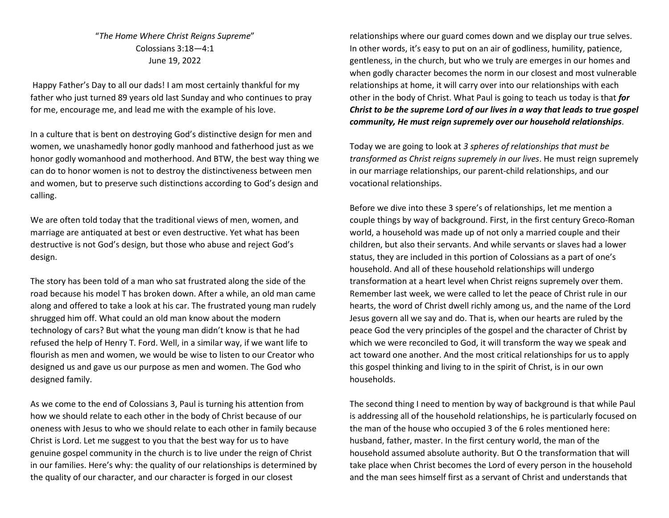## "*The Home Where Christ Reigns Supreme*" Colossians 3:18—4:1 June 19, 2022

 Happy Father's Day to all our dads! I am most certainly thankful for my father who just turned 89 years old last Sunday and who continues to pray for me, encourage me, and lead me with the example of his love.

In a culture that is bent on destroying God's distinctive design for men and women, we unashamedly honor godly manhood and fatherhood just as we honor godly womanhood and motherhood. And BTW, the best way thing we can do to honor women is not to destroy the distinctiveness between men and women, but to preserve such distinctions according to God's design and calling.

We are often told today that the traditional views of men, women, and marriage are antiquated at best or even destructive. Yet what has been destructive is not God's design, but those who abuse and reject God's design.

The story has been told of a man who sat frustrated along the side of the road because his model T has broken down. After a while, an old man came along and offered to take a look at his car. The frustrated young man rudely shrugged him off. What could an old man know about the modern technology of cars? But what the young man didn't know is that he had refused the help of Henry T. Ford. Well, in a similar way, if we want life to flourish as men and women, we would be wise to listen to our Creator who designed us and gave us our purpose as men and women. The God who designed family.

As we come to the end of Colossians 3, Paul is turning his attention from how we should relate to each other in the body of Christ because of our oneness with Jesus to who we should relate to each other in family because Christ is Lord. Let me suggest to you that the best way for us to have genuine gospel community in the church is to live under the reign of Christ in our families. Here's why: the quality of our relationships is determined by the quality of our character, and our character is forged in our closest

relationships where our guard comes down and we display our true selves. In other words, it's easy to put on an air of godliness, humility, patience, gentleness, in the church, but who we truly are emerges in our homes and when godly character becomes the norm in our closest and most vulnerable relationships at home, it will carry over into our relationships with each other in the body of Christ. What Paul is going to teach us today is that *for Christ to be the supreme Lord of our lives in a way that leads to true gospel community, He must reign supremely over our household relationships*.

Today we are going to look at *3 spheres of relationships that must be transformed as Christ reigns supremely in our lives*. He must reign supremely in our marriage relationships, our parent-child relationships, and our vocational relationships.

Before we dive into these 3 spere's of relationships, let me mention a couple things by way of background. First, in the first century Greco-Roman world, a household was made up of not only a married couple and their children, but also their servants. And while servants or slaves had a lower status, they are included in this portion of Colossians as a part of one's household. And all of these household relationships will undergo transformation at a heart level when Christ reigns supremely over them. Remember last week, we were called to let the peace of Christ rule in our hearts, the word of Christ dwell richly among us, and the name of the Lord Jesus govern all we say and do. That is, when our hearts are ruled by the peace God the very principles of the gospel and the character of Christ by which we were reconciled to God, it will transform the way we speak and act toward one another. And the most critical relationships for us to apply this gospel thinking and living to in the spirit of Christ, is in our own households.

The second thing I need to mention by way of background is that while Paul is addressing all of the household relationships, he is particularly focused on the man of the house who occupied 3 of the 6 roles mentioned here: husband, father, master. In the first century world, the man of the household assumed absolute authority. But O the transformation that will take place when Christ becomes the Lord of every person in the household and the man sees himself first as a servant of Christ and understands that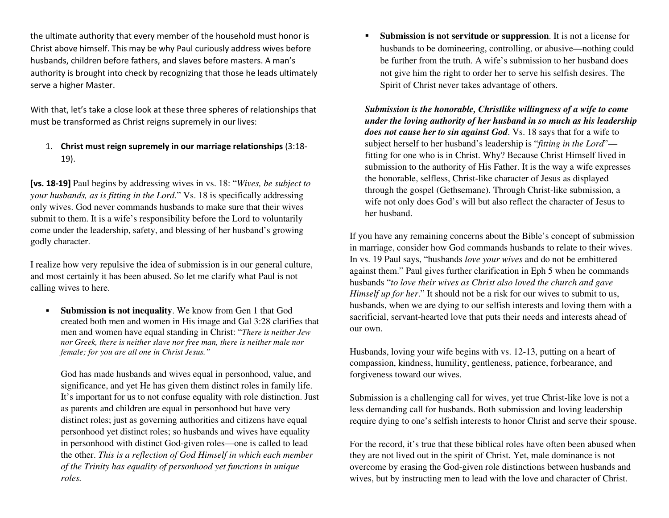the ultimate authority that every member of the household must honor is Christ above himself. This may be why Paul curiously address wives before husbands, children before fathers, and slaves before masters. A man's authority is brought into check by recognizing that those he leads ultimately serve a higher Master.

With that, let's take a close look at these three spheres of relationships that must be transformed as Christ reigns supremely in our lives:

1. **Christ must reign supremely in our marriage relationships** (3:18-19).

**[vs. 18-19]** Paul begins by addressing wives in vs. 18: "*Wives, be subject to your husbands, as is fitting in the Lord*." Vs. 18 is specifically addressing only wives. God never commands husbands to make sure that their wives submit to them. It is a wife's responsibility before the Lord to voluntarily come under the leadership, safety, and blessing of her husband's growing godly character.

I realize how very repulsive the idea of submission is in our general culture, and most certainly it has been abused. So let me clarify what Paul is not calling wives to here.

٠ **Submission is not inequality**. We know from Gen 1 that God created both men and women in His image and Gal 3:28 clarifies that men and women have equal standing in Christ: "*There is neither Jew nor Greek, there is neither slave nor free man, there is neither male nor female; for you are all one in Christ Jesus."* 

God has made husbands and wives equal in personhood, value, and significance, and yet He has given them distinct roles in family life. It's important for us to not confuse equality with role distinction. Just as parents and children are equal in personhood but have very distinct roles; just as governing authorities and citizens have equal personhood yet distinct roles; so husbands and wives have equality in personhood with distinct God-given roles—one is called to lead the other. *This is a reflection of God Himself in which each member of the Trinity has equality of personhood yet functions in unique roles.* 

n **Submission is not servitude or suppression**. It is not a license for husbands to be domineering, controlling, or abusive—nothing could be further from the truth. A wife's submission to her husband does not give him the right to order her to serve his selfish desires. The Spirit of Christ never takes advantage of others.

*Submission is the honorable, Christlike willingness of a wife to come under the loving authority of her husband in so much as his leadership does not cause her to sin against God*. Vs. 18 says that for a wife to subject herself to her husband's leadership is "*fitting in the Lord*" fitting for one who is in Christ. Why? Because Christ Himself lived in submission to the authority of His Father. It is the way a wife expresses the honorable, selfless, Christ-like character of Jesus as displayed through the gospel (Gethsemane). Through Christ-like submission, a wife not only does God's will but also reflect the character of Jesus to her husband.

If you have any remaining concerns about the Bible's concept of submission in marriage, consider how God commands husbands to relate to their wives. In vs. 19 Paul says, "husbands *love your wives* and do not be embittered against them." Paul gives further clarification in Eph 5 when he commands husbands "*to love their wives as Christ also loved the church and gave Himself up for her*." It should not be a risk for our wives to submit to us, husbands, when we are dying to our selfish interests and loving them with a sacrificial, servant-hearted love that puts their needs and interests ahead of our own.

Husbands, loving your wife begins with vs. 12-13, putting on a heart of compassion, kindness, humility, gentleness, patience, forbearance, and forgiveness toward our wives.

Submission is a challenging call for wives, yet true Christ-like love is not a less demanding call for husbands. Both submission and loving leadership require dying to one's selfish interests to honor Christ and serve their spouse.

For the record, it's true that these biblical roles have often been abused when they are not lived out in the spirit of Christ. Yet, male dominance is not overcome by erasing the God-given role distinctions between husbands and wives, but by instructing men to lead with the love and character of Christ.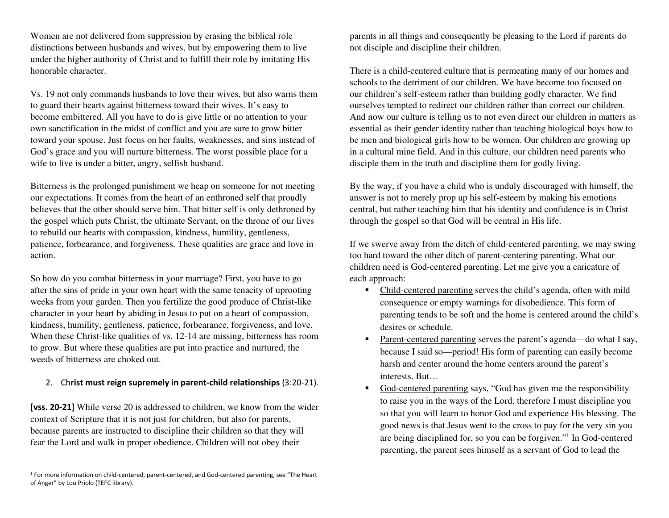Women are not delivered from suppression by erasing the biblical role distinctions between husbands and wives, but by empowering them to live under the higher authority of Christ and to fulfill their role by imitating His honorable character.

Vs. 19 not only commands husbands to love their wives, but also warns them to guard their hearts against bitterness toward their wives. It's easy to become embittered. All you have to do is give little or no attention to your own sanctification in the midst of conflict and you are sure to grow bitter toward your spouse. Just focus on her faults, weaknesses, and sins instead of God's grace and you will nurture bitterness. The worst possible place for a wife to live is under a bitter, angry, selfish husband.

Bitterness is the prolonged punishment we heap on someone for not meeting our expectations. It comes from the heart of an enthroned self that proudly believes that the other should serve him. That bitter self is only dethroned by the gospel which puts Christ, the ultimate Servant, on the throne of our lives to rebuild our hearts with compassion, kindness, humility, gentleness, patience, forbearance, and forgiveness. These qualities are grace and love in action.

So how do you combat bitterness in your marriage? First, you have to go after the sins of pride in your own heart with the same tenacity of uprooting weeks from your garden. Then you fertilize the good produce of Christ-like character in your heart by abiding in Jesus to put on a heart of compassion, kindness, humility, gentleness, patience, forbearance, forgiveness, and love. When these Christ-like qualities of vs. 12-14 are missing, bitterness has room to grow. But where these qualities are put into practice and nurtured, the weeds of bitterness are choked out.

## 2. Ch**rist must reign supremely in parent-child relationships** (3:20-21).

**[vss. 20-21]** While verse 20 is addressed to children, we know from the wider context of Scripture that it is not just for children, but also for parents, because parents are instructed to discipline their children so that they will fear the Lord and walk in proper obedience. Children will not obey their

parents in all things and consequently be pleasing to the Lord if parents do not disciple and discipline their children.

There is a child-centered culture that is permeating many of our homes and schools to the detriment of our children. We have become too focused on our children's self-esteem rather than building godly character. We find ourselves tempted to redirect our children rather than correct our children. And now our culture is telling us to not even direct our children in matters as essential as their gender identity rather than teaching biological boys how to be men and biological girls how to be women. Our children are growing up in a cultural mine field. And in this culture, our children need parents who disciple them in the truth and discipline them for godly living.

By the way, if you have a child who is unduly discouraged with himself, the answer is not to merely prop up his self-esteem by making his emotions central, but rather teaching him that his identity and confidence is in Christ through the gospel so that God will be central in His life.

If we swerve away from the ditch of child-centered parenting, we may swing too hard toward the other ditch of parent-centering parenting. What our children need is God-centered parenting. Let me give you a caricature of each approach:

- Child-centered parenting serves the child's agenda, often with mild ■ consequence or empty warnings for disobedience. This form of parenting tends to be soft and the home is centered around the child's desires or schedule.
- Parent-centered parenting serves the parent's agenda—do what I say, because I said so—period! His form of parenting can easily become harsh and center around the home centers around the parent's interests. But…
- n God-centered parenting says, "God has given me the responsibility to raise you in the ways of the Lord, therefore I must discipline you so that you will learn to honor God and experience His blessing. The good news is that Jesus went to the cross to pay for the very sin you are being disciplined for, so you can be forgiven."<sup>1</sup> In God-centered parenting, the parent sees himself as a servant of God to lead the

<sup>&</sup>lt;sup>1</sup> For more information on child-centered, parent-centered, and God-centered parenting, see "The Heart of Anger" by Lou Priolo (TEFC library).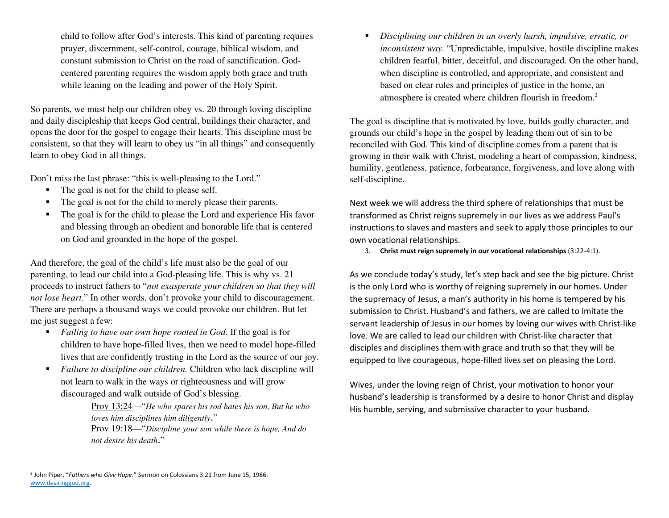child to follow after God's interests. This kind of parenting requires prayer, discernment, self-control, courage, biblical wisdom, and constant submission to Christ on the road of sanctification. Godcentered parenting requires the wisdom apply both grace and truth while leaning on the leading and power of the Holy Spirit.

So parents, we must help our children obey vs. 20 through loving discipline and daily discipleship that keeps God central, buildings their character, and opens the door for the gospel to engage their hearts. This discipline must be consistent, so that they will learn to obey us "in all things" and consequently learn to obey God in all things.

Don't miss the last phrase: "this is well-pleasing to the Lord."

- The goal is not for the child to please self.
- The goal is not for the child to merely please their parents.
- $\blacksquare$  The goal is for the child to please the Lord and experience His favor and blessing through an obedient and honorable life that is centered on God and grounded in the hope of the gospel.

And therefore, the goal of the child's life must also be the goal of our parenting, to lead our child into a God-pleasing life. This is why vs. 21 proceeds to instruct fathers to "*not exasperate your children so that they will not lose heart.*" In other words, don't provoke your child to discouragement. There are perhaps a thousand ways we could provoke our children. But let me just suggest a few:

- *Failing to have our own hope rooted in God*. If the goal is for children to have hope-filled lives, then we need to model hope-filled lives that are confidently trusting in the Lord as the source of our joy.
- $\blacksquare$  *Failure to discipline our children.* Children who lack discipline will not learn to walk in the ways or righteousness and will grow discouraged and walk outside of God's blessing.

Prov 13:24—"*He who spares his rod hates his son, But he who loves him disciplines him diligently*."

 Prov 19:18—"*Discipline your son while there is hope, And do not desire his death*."

n *Disciplining our children in an overly harsh, impulsive, erratic, or inconsistent way*. "Unpredictable, impulsive, hostile discipline makes children fearful, bitter, deceitful, and discouraged. On the other hand, when discipline is controlled, and appropriate, and consistent and based on clear rules and principles of justice in the home, an atmosphere is created where children flourish in freedom.<sup>2</sup>

The goal is discipline that is motivated by love, builds godly character, and grounds our child's hope in the gospel by leading them out of sin to be reconciled with God. This kind of discipline comes from a parent that is growing in their walk with Christ, modeling a heart of compassion, kindness, humility, gentleness, patience, forbearance, forgiveness, and love along with self-discipline.

Next week we will address the third sphere of relationships that must be transformed as Christ reigns supremely in our lives as we address Paul's instructions to slaves and masters and seek to apply those principles to our own vocational relationships.

3. **Christ must reign supremely in our vocational relationships** (3:22-4:1).

As we conclude today's study, let's step back and see the big picture. Christ is the only Lord who is worthy of reigning supremely in our homes. Under the supremacy of Jesus, a man's authority in his home is tempered by his submission to Christ. Husband's and fathers, we are called to imitate the servant leadership of Jesus in our homes by loving our wives with Christ-like love. We are called to lead our children with Christ-like character that disciples and disciplines them with grace and truth so that they will be equipped to live courageous, hope-filled lives set on pleasing the Lord.

Wives, under the loving reign of Christ, your motivation to honor your husband's leadership is transformed by a desire to honor Christ and display His humble, serving, and submissive character to your husband.

<sup>2</sup> John Piper, "*Fathers who Give Hope*." Sermon on Colossians 3:21 from June 15, 1986. www.desiringgod.org.